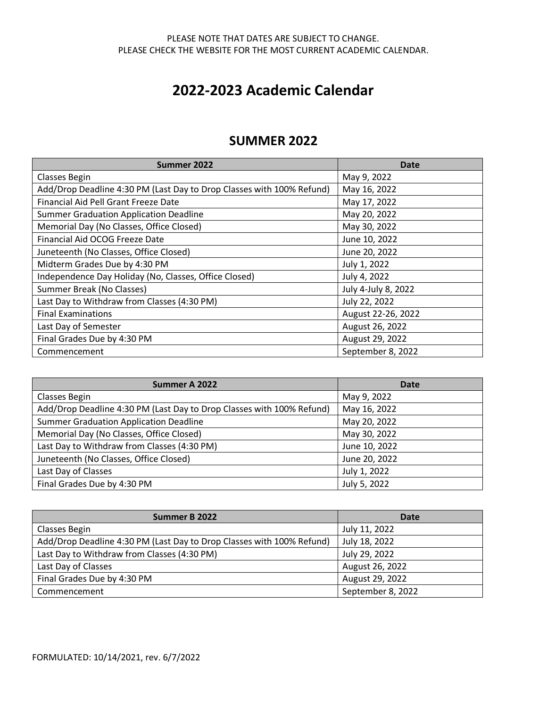#### PLEASE NOTE THAT DATES ARE SUBJECT TO CHANGE. PLEASE CHECK THE WEBSITE FOR THE MOST CURRENT ACADEMIC CALENDAR.

# **2022-2023 Academic Calendar**

### **SUMMER 2022**

| Summer 2022                                                           | Date                |
|-----------------------------------------------------------------------|---------------------|
| Classes Begin                                                         | May 9, 2022         |
| Add/Drop Deadline 4:30 PM (Last Day to Drop Classes with 100% Refund) | May 16, 2022        |
| Financial Aid Pell Grant Freeze Date                                  | May 17, 2022        |
| <b>Summer Graduation Application Deadline</b>                         | May 20, 2022        |
| Memorial Day (No Classes, Office Closed)                              | May 30, 2022        |
| Financial Aid OCOG Freeze Date                                        | June 10, 2022       |
| Juneteenth (No Classes, Office Closed)                                | June 20, 2022       |
| Midterm Grades Due by 4:30 PM                                         | July 1, 2022        |
| Independence Day Holiday (No, Classes, Office Closed)                 | July 4, 2022        |
| Summer Break (No Classes)                                             | July 4-July 8, 2022 |
| Last Day to Withdraw from Classes (4:30 PM)                           | July 22, 2022       |
| <b>Final Examinations</b>                                             | August 22-26, 2022  |
| Last Day of Semester                                                  | August 26, 2022     |
| Final Grades Due by 4:30 PM                                           | August 29, 2022     |
| Commencement                                                          | September 8, 2022   |

| Summer A 2022                                                         | Date          |
|-----------------------------------------------------------------------|---------------|
| Classes Begin                                                         | May 9, 2022   |
| Add/Drop Deadline 4:30 PM (Last Day to Drop Classes with 100% Refund) | May 16, 2022  |
| <b>Summer Graduation Application Deadline</b>                         | May 20, 2022  |
| Memorial Day (No Classes, Office Closed)                              | May 30, 2022  |
| Last Day to Withdraw from Classes (4:30 PM)                           | June 10, 2022 |
| Juneteenth (No Classes, Office Closed)                                | June 20, 2022 |
| Last Day of Classes                                                   | July 1, 2022  |
| Final Grades Due by 4:30 PM                                           | July 5, 2022  |

| Summer B 2022                                                         | Date              |
|-----------------------------------------------------------------------|-------------------|
| Classes Begin                                                         | July 11, 2022     |
| Add/Drop Deadline 4:30 PM (Last Day to Drop Classes with 100% Refund) | July 18, 2022     |
| Last Day to Withdraw from Classes (4:30 PM)                           | July 29, 2022     |
| Last Day of Classes                                                   | August 26, 2022   |
| Final Grades Due by 4:30 PM                                           | August 29, 2022   |
| Commencement                                                          | September 8, 2022 |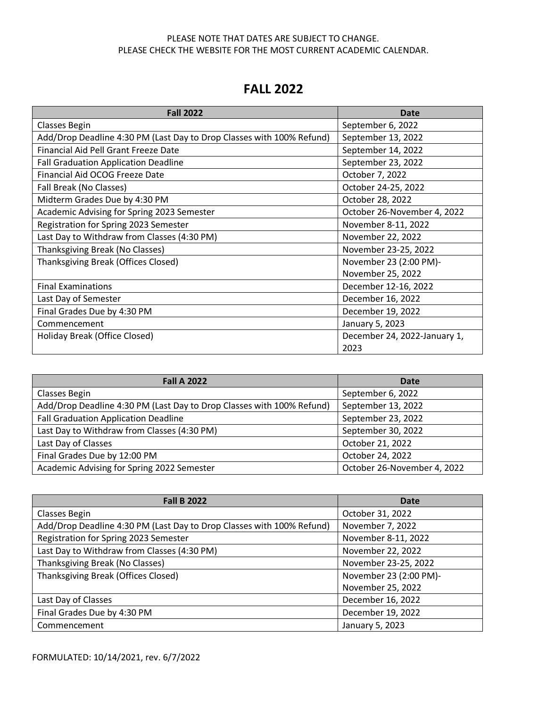#### PLEASE NOTE THAT DATES ARE SUBJECT TO CHANGE. PLEASE CHECK THE WEBSITE FOR THE MOST CURRENT ACADEMIC CALENDAR.

## **FALL 2022**

| <b>Fall 2022</b>                                                      | Date                         |
|-----------------------------------------------------------------------|------------------------------|
| Classes Begin                                                         | September 6, 2022            |
| Add/Drop Deadline 4:30 PM (Last Day to Drop Classes with 100% Refund) | September 13, 2022           |
| Financial Aid Pell Grant Freeze Date                                  | September 14, 2022           |
| <b>Fall Graduation Application Deadline</b>                           | September 23, 2022           |
| Financial Aid OCOG Freeze Date                                        | October 7, 2022              |
| Fall Break (No Classes)                                               | October 24-25, 2022          |
| Midterm Grades Due by 4:30 PM                                         | October 28, 2022             |
| Academic Advising for Spring 2023 Semester                            | October 26-November 4, 2022  |
| Registration for Spring 2023 Semester                                 | November 8-11, 2022          |
| Last Day to Withdraw from Classes (4:30 PM)                           | November 22, 2022            |
| Thanksgiving Break (No Classes)                                       | November 23-25, 2022         |
| Thanksgiving Break (Offices Closed)                                   | November 23 (2:00 PM)-       |
|                                                                       | November 25, 2022            |
| <b>Final Examinations</b>                                             | December 12-16, 2022         |
| Last Day of Semester                                                  | December 16, 2022            |
| Final Grades Due by 4:30 PM                                           | December 19, 2022            |
| Commencement                                                          | January 5, 2023              |
| Holiday Break (Office Closed)                                         | December 24, 2022-January 1, |
|                                                                       | 2023                         |

| <b>Fall A 2022</b>                                                    | Date                        |
|-----------------------------------------------------------------------|-----------------------------|
| Classes Begin                                                         | September 6, 2022           |
| Add/Drop Deadline 4:30 PM (Last Day to Drop Classes with 100% Refund) | September 13, 2022          |
| <b>Fall Graduation Application Deadline</b>                           | September 23, 2022          |
| Last Day to Withdraw from Classes (4:30 PM)                           | September 30, 2022          |
| Last Day of Classes                                                   | October 21, 2022            |
| Final Grades Due by 12:00 PM                                          | October 24, 2022            |
| Academic Advising for Spring 2022 Semester                            | October 26-November 4, 2022 |

| <b>Fall B 2022</b>                                                    | Date                   |
|-----------------------------------------------------------------------|------------------------|
| Classes Begin                                                         | October 31, 2022       |
| Add/Drop Deadline 4:30 PM (Last Day to Drop Classes with 100% Refund) | November 7, 2022       |
| Registration for Spring 2023 Semester                                 | November 8-11, 2022    |
| Last Day to Withdraw from Classes (4:30 PM)                           | November 22, 2022      |
| Thanksgiving Break (No Classes)                                       | November 23-25, 2022   |
| Thanksgiving Break (Offices Closed)                                   | November 23 (2:00 PM)- |
|                                                                       | November 25, 2022      |
| Last Day of Classes                                                   | December 16, 2022      |
| Final Grades Due by 4:30 PM                                           | December 19, 2022      |
| Commencement                                                          | January 5, 2023        |